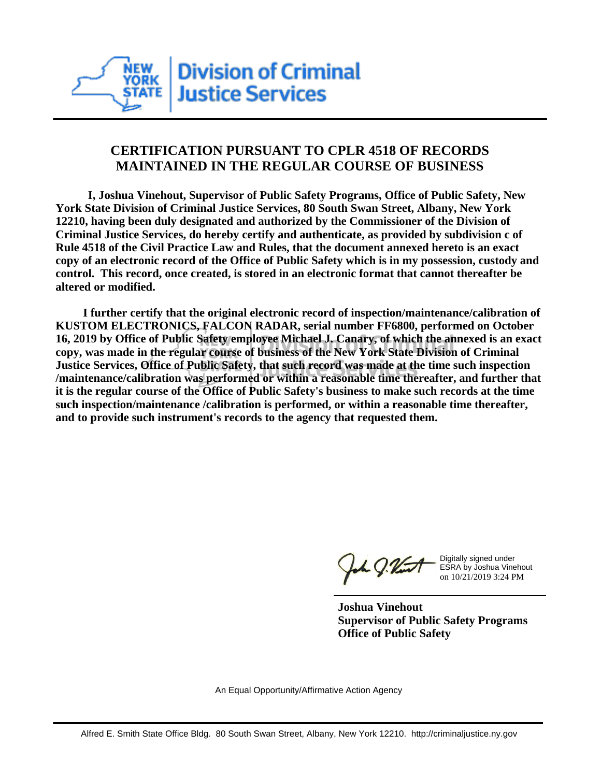

## **CERTIFICATION PURSUANT TO CPLR 4518 OF RECORDS MAINTAINED IN THE REGULAR COURSE OF BUSINESS**

 **I, Joshua Vinehout, Supervisor of Public Safety Programs, Office of Public Safety, New York State Division of Criminal Justice Services, 80 South Swan Street, Albany, New York 12210, having been duly designated and authorized by the Commissioner of the Division of Criminal Justice Services, do hereby certify and authenticate, as provided by subdivision c of Rule 4518 of the Civil Practice Law and Rules, that the document annexed hereto is an exact copy of an electronic record of the Office of Public Safety which is in my possession, custody and control. This record, once created, is stored in an electronic format that cannot thereafter be altered or modified.**

 **I further certify that the original electronic record of inspection/maintenance/calibration of KUSTOM ELECTRONICS, FALCON RADAR, serial number FF6800, performed on October 16, 2019 by Office of Public Safety employee Michael J. Canary, of which the annexed is an exact copy, was made in the regular course of business of the New York State Division of Criminal Justice Services, Office of Public Safety, that such record was made at the time such inspection /maintenance/calibration was performed or within a reasonable time thereafter, and further that it is the regular course of the Office of Public Safety's business to make such records at the time such inspection/maintenance /calibration is performed, or within a reasonable time thereafter, and to provide such instrument's records to the agency that requested them.**

the J. Vint

Digitally signed under ESRA by Joshua Vinehout on 10/21/2019 3:24 PM

**Joshua Vinehout Supervisor of Public Safety Programs Office of Public Safety**

An Equal Opportunity/Affirmative Action Agency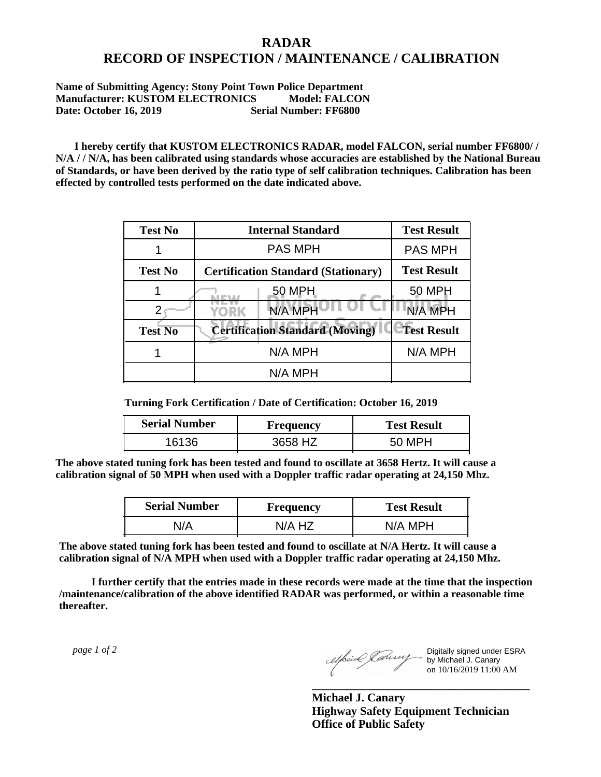## **RADAR RECORD OF INSPECTION / MAINTENANCE / CALIBRATION**

**Name of Submitting Agency: Stony Point Town Police Department Manufacturer: KUSTOM ELECTRONICS Model: FALCON Date: October 16, 2019 Serial Number: FF6800**

 **I hereby certify that KUSTOM ELECTRONICS RADAR, model FALCON, serial number FF6800/ / N/A / / N/A, has been calibrated using standards whose accuracies are established by the National Bureau of Standards, or have been derived by the ratio type of self calibration techniques. Calibration has been effected by controlled tests performed on the date indicated above.**

| <b>Test No</b> | <b>Internal Standard</b>                   | <b>Test Result</b> |
|----------------|--------------------------------------------|--------------------|
|                | <b>PAS MPH</b>                             | <b>PAS MPH</b>     |
| <b>Test No</b> | <b>Certification Standard (Stationary)</b> | <b>Test Result</b> |
|                | 50 MPH                                     | 50 MPH             |
|                | N/A MPH<br><b>YORK</b>                     | N/A MPH            |
| <b>Test No</b> | <b>Certification Standard (Moving)</b>     | <b>Test Result</b> |
|                | N/A MPH                                    | N/A MPH            |
|                | N/A MPH                                    |                    |

**Turning Fork Certification / Date of Certification: October 16, 2019**

| <b>Serial Number</b> | <b>Frequency</b> | <b>Test Result</b> |
|----------------------|------------------|--------------------|
| 16136                | 3658 HZ          | 50 MPH             |

**The above stated tuning fork has been tested and found to oscillate at 3658 Hertz. It will cause a calibration signal of 50 MPH when used with a Doppler traffic radar operating at 24,150 Mhz.**

| <b>Serial Number</b> | Frequency | <b>Test Result</b> |
|----------------------|-----------|--------------------|
| J/A                  | N/A HZ    | N/A MPH            |

**The above stated tuning fork has been tested and found to oscillate at N/A Hertz. It will cause a calibration signal of N/A MPH when used with a Doppler traffic radar operating at 24,150 Mhz.**

 **I further certify that the entries made in these records were made at the time that the inspection /maintenance/calibration of the above identified RADAR was performed, or within a reasonable time thereafter.**

 *page 1 of 2* 

Digitally signed under ESRA by Michael J. Canary on 10/16/2019 11:00 AM

**Michael J. Canary Highway Safety Equipment Technician Office of Public Safety**

**\_\_\_\_\_\_\_\_\_\_\_\_\_\_\_\_\_\_\_\_\_\_\_\_\_\_\_\_\_\_\_\_\_\_\_\_\_**